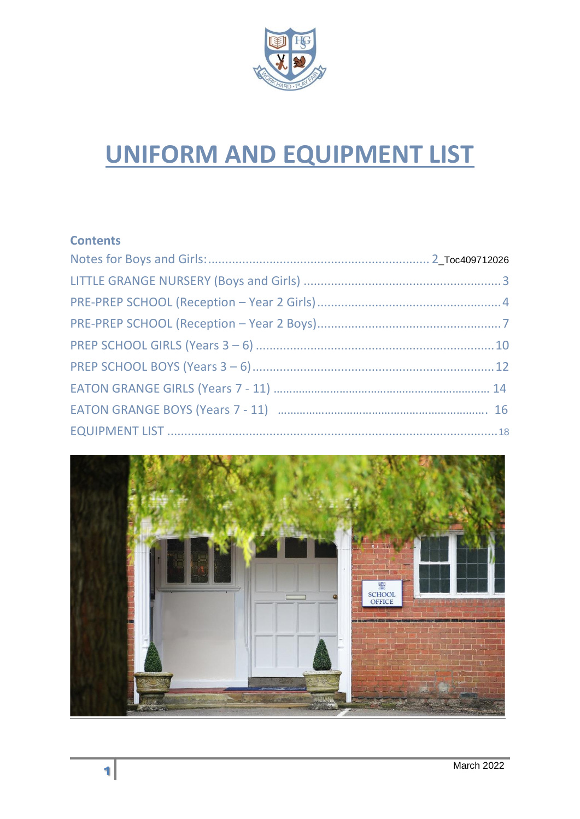

# **UNIFORM AND EQUIPMENT LIST**

# **Contents**

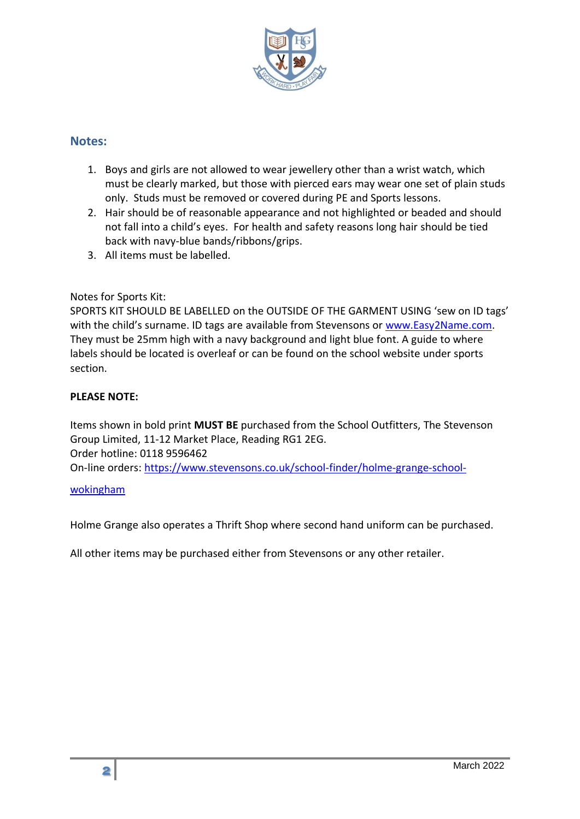

#### <span id="page-1-0"></span>**Notes:**

- 1. Boys and girls are not allowed to wear jewellery other than a wrist watch, which must be clearly marked, but those with pierced ears may wear one set of plain studs only. Studs must be removed or covered during PE and Sports lessons.
- 2. Hair should be of reasonable appearance and not highlighted or beaded and should not fall into a child's eyes. For health and safety reasons long hair should be tied back with navy-blue bands/ribbons/grips.
- 3. All items must be labelled.

#### Notes for Sports Kit:

SPORTS KIT SHOULD BE LABELLED on the OUTSIDE OF THE GARMENT USING 'sew on ID tags' with the child's surname. ID tags are available from Stevensons or [www.Easy2Name.com.](http://www.easy2name.com/) They must be 25mm high with a navy background and light blue font. A guide to where labels should be located is overleaf or can be found on the school website under sports section.

#### **PLEASE NOTE:**

Items shown in bold print **MUST BE** purchased from the School Outfitters, The Stevenson Group Limited, 11-12 Market Place, Reading RG1 2EG. Order hotline: 0118 9596462

On-line orders: [https://www.stevensons.co.uk/school-finder/holme-grange-school-](https://www.stevensons.co.uk/school-finder/holme-grange-school-wokingham)

#### [wokingham](https://www.stevensons.co.uk/school-finder/holme-grange-school-wokingham)

Holme Grange also operates a Thrift Shop where second hand uniform can be purchased.

All other items may be purchased either from Stevensons or any other retailer.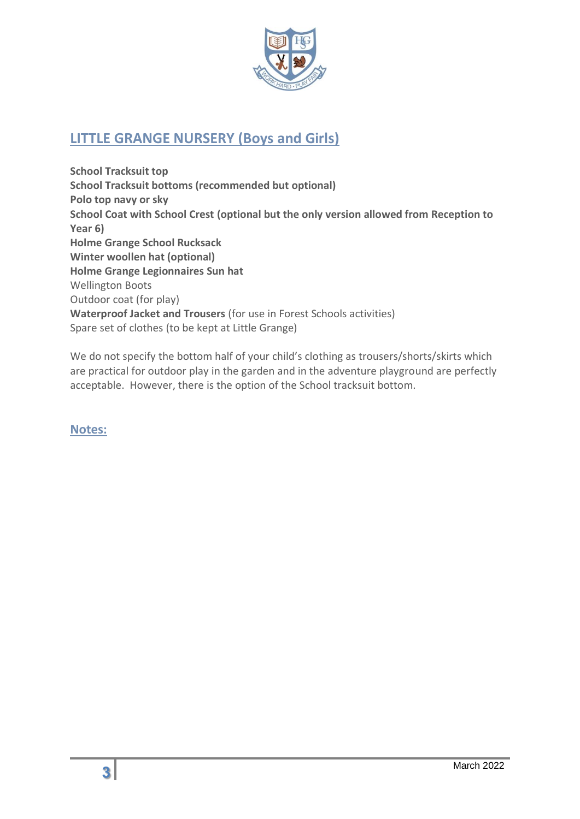

# <span id="page-2-0"></span>**LITTLE GRANGE NURSERY (Boys and Girls)**

**School Tracksuit top School Tracksuit bottoms (recommended but optional) Polo top navy or sky School Coat with School Crest (optional but the only version allowed from Reception to Year 6) Holme Grange School Rucksack Winter woollen hat (optional) Holme Grange Legionnaires Sun hat** Wellington Boots Outdoor coat (for play) **Waterproof Jacket and Trousers** (for use in Forest Schools activities) Spare set of clothes (to be kept at Little Grange)

We do not specify the bottom half of your child's clothing as trousers/shorts/skirts which are practical for outdoor play in the garden and in the adventure playground are perfectly acceptable. However, there is the option of the School tracksuit bottom.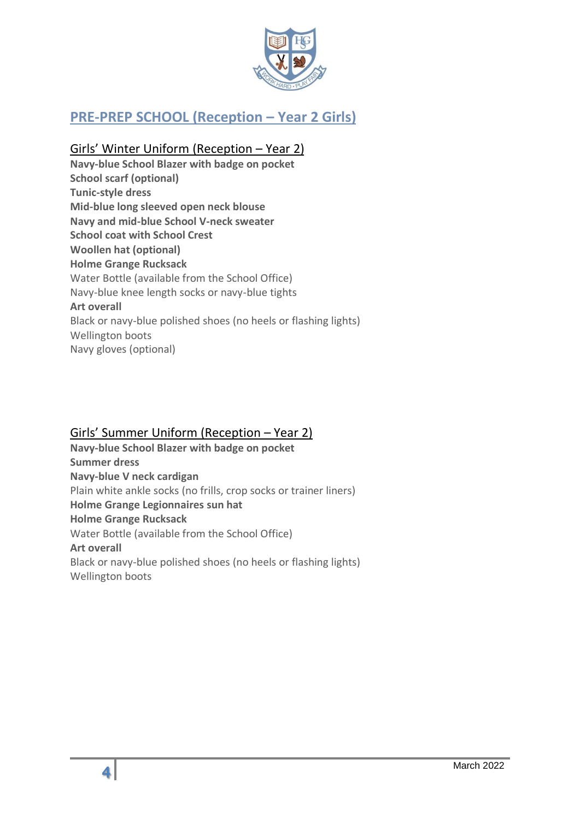

# <span id="page-3-0"></span>**PRE-PREP SCHOOL (Reception – Year 2 Girls)**

# Girls' Winter Uniform (Reception – Year 2)

**Navy-blue School Blazer with badge on pocket School scarf (optional) Tunic-style dress Mid-blue long sleeved open neck blouse Navy and mid-blue School V-neck sweater School coat with School Crest Woollen hat (optional) Holme Grange Rucksack** Water Bottle (available from the School Office) Navy-blue knee length socks or navy-blue tights **Art overall** Black or navy-blue polished shoes (no heels or flashing lights) Wellington boots Navy gloves (optional)

### Girls' Summer Uniform (Reception – Year 2)

**Navy-blue School Blazer with badge on pocket Summer dress Navy-blue V neck cardigan** Plain white ankle socks (no frills, crop socks or trainer liners) **Holme Grange Legionnaires sun hat Holme Grange Rucksack** Water Bottle (available from the School Office) **Art overall** Black or navy-blue polished shoes (no heels or flashing lights) Wellington boots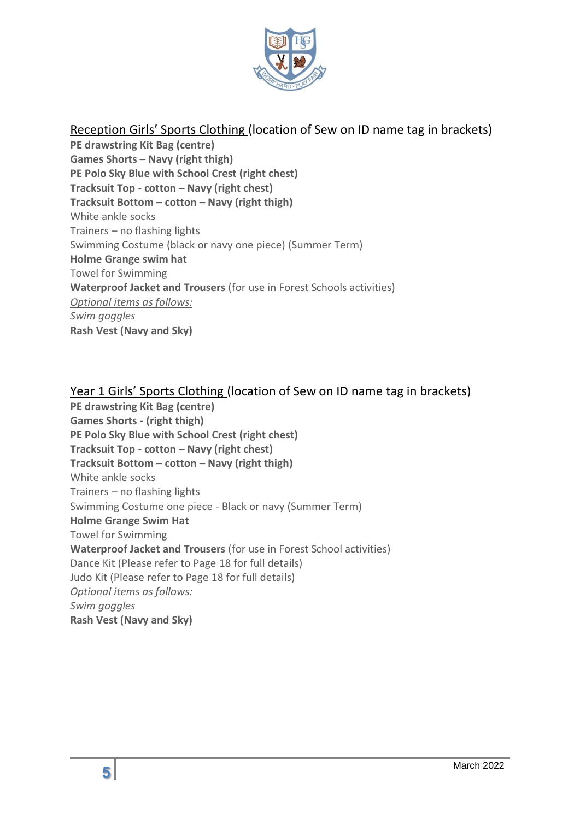

# Reception Girls' Sports Clothing (location of Sew on ID name tag in brackets)

**PE drawstring Kit Bag (centre) Games Shorts – Navy (right thigh) PE Polo Sky Blue with School Crest (right chest) Tracksuit Top - cotton – Navy (right chest) Tracksuit Bottom – cotton – Navy (right thigh)** White ankle socks Trainers – no flashing lights Swimming Costume (black or navy one piece) (Summer Term) **Holme Grange swim hat** Towel for Swimming **Waterproof Jacket and Trousers** (for use in Forest Schools activities) *Optional items as follows: Swim goggles* **Rash Vest (Navy and Sky)**

### Year 1 Girls' Sports Clothing (location of Sew on ID name tag in brackets)

**PE drawstring Kit Bag (centre) Games Shorts - (right thigh) PE Polo Sky Blue with School Crest (right chest) Tracksuit Top - cotton – Navy (right chest) Tracksuit Bottom – cotton – Navy (right thigh)** White ankle socks Trainers – no flashing lights Swimming Costume one piece - Black or navy (Summer Term) **Holme Grange Swim Hat** Towel for Swimming **Waterproof Jacket and Trousers** (for use in Forest School activities) Dance Kit (Please refer to Page 18 for full details) Judo Kit (Please refer to Page 18 for full details) *Optional items as follows: Swim goggles* **Rash Vest (Navy and Sky)**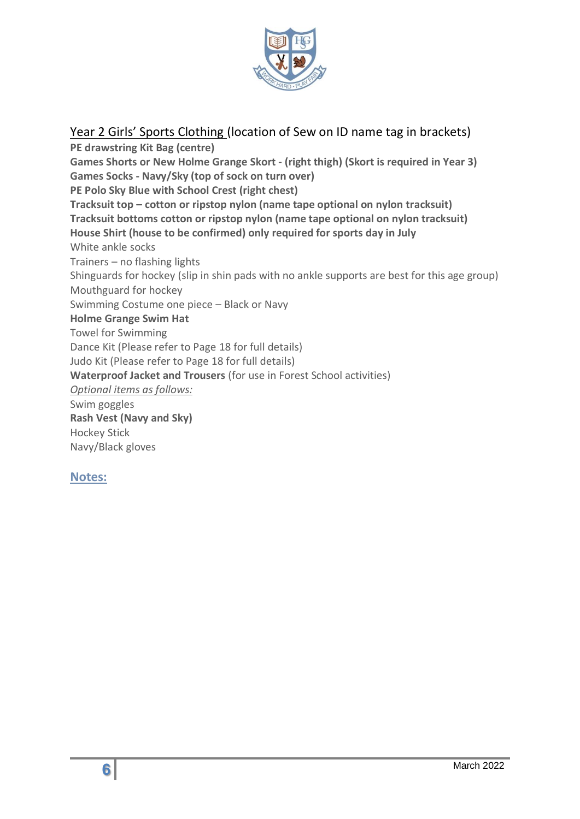

Year 2 Girls' Sports Clothing (location of Sew on ID name tag in brackets)

**PE drawstring Kit Bag (centre) Games Shorts or New Holme Grange Skort - (right thigh) (Skort is required in Year 3) Games Socks - Navy/Sky (top of sock on turn over) PE Polo Sky Blue with School Crest (right chest) Tracksuit top – cotton or ripstop nylon (name tape optional on nylon tracksuit) Tracksuit bottoms cotton or ripstop nylon (name tape optional on nylon tracksuit) House Shirt (house to be confirmed) only required for sports day in July**  White ankle socks Trainers – no flashing lights Shinguards for hockey (slip in shin pads with no ankle supports are best for this age group) Mouthguard for hockey Swimming Costume one piece – Black or Navy **Holme Grange Swim Hat** Towel for Swimming Dance Kit (Please refer to Page 18 for full details) Judo Kit (Please refer to Page 18 for full details) **Waterproof Jacket and Trousers** (for use in Forest School activities) *Optional items as follows:* Swim goggles **Rash Vest (Navy and Sky)** Hockey Stick Navy/Black gloves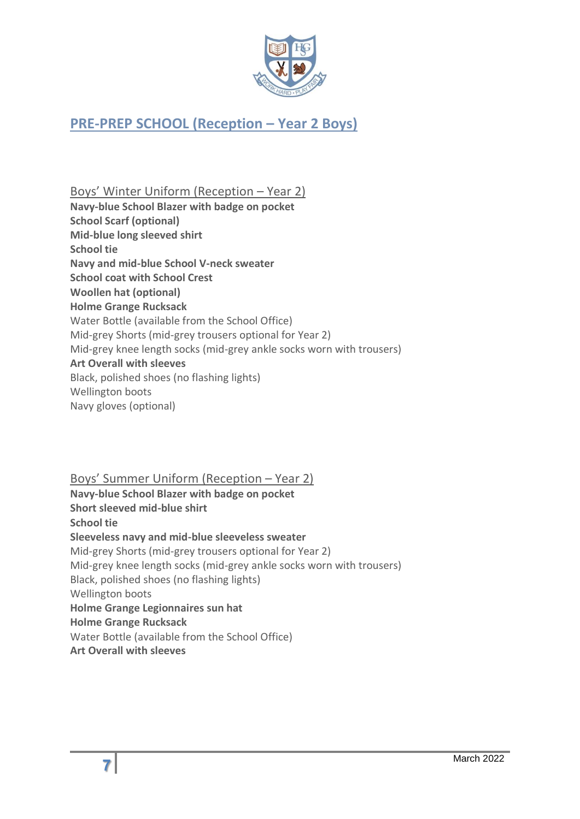

# <span id="page-6-0"></span>**PRE-PREP SCHOOL (Reception – Year 2 Boys)**

Boys' Winter Uniform (Reception – Year 2) **Navy-blue School Blazer with badge on pocket School Scarf (optional) Mid-blue long sleeved shirt School tie Navy and mid-blue School V-neck sweater School coat with School Crest Woollen hat (optional) Holme Grange Rucksack** Water Bottle (available from the School Office) Mid-grey Shorts (mid-grey trousers optional for Year 2) Mid-grey knee length socks (mid-grey ankle socks worn with trousers) **Art Overall with sleeves** Black, polished shoes (no flashing lights) Wellington boots Navy gloves (optional)

Boys' Summer Uniform (Reception – Year 2)

**Navy-blue School Blazer with badge on pocket Short sleeved mid-blue shirt School tie Sleeveless navy and mid-blue sleeveless sweater**  Mid-grey Shorts (mid-grey trousers optional for Year 2) Mid-grey knee length socks (mid-grey ankle socks worn with trousers) Black, polished shoes (no flashing lights) Wellington boots **Holme Grange Legionnaires sun hat Holme Grange Rucksack** Water Bottle (available from the School Office) **Art Overall with sleeves**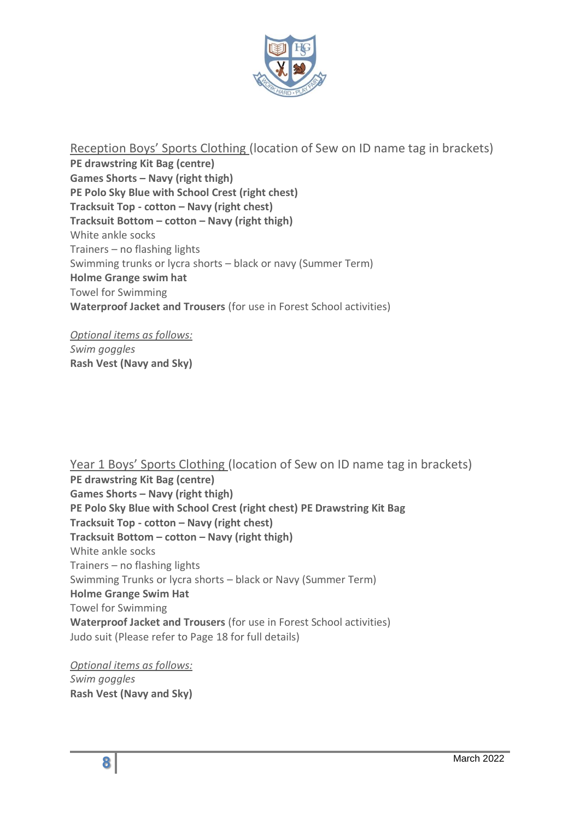

Reception Boys' Sports Clothing (location of Sew on ID name tag in brackets) **PE drawstring Kit Bag (centre) Games Shorts – Navy (right thigh) PE Polo Sky Blue with School Crest (right chest) Tracksuit Top - cotton – Navy (right chest) Tracksuit Bottom – cotton – Navy (right thigh)** White ankle socks Trainers – no flashing lights Swimming trunks or lycra shorts – black or navy (Summer Term) **Holme Grange swim hat** Towel for Swimming **Waterproof Jacket and Trousers** (for use in Forest School activities)

*Optional items as follows: Swim goggles* **Rash Vest (Navy and Sky)**

Year 1 Boys' Sports Clothing (location of Sew on ID name tag in brackets) **PE drawstring Kit Bag (centre) Games Shorts – Navy (right thigh) PE Polo Sky Blue with School Crest (right chest) PE Drawstring Kit Bag Tracksuit Top - cotton – Navy (right chest) Tracksuit Bottom – cotton – Navy (right thigh)** White ankle socks Trainers – no flashing lights Swimming Trunks or lycra shorts – black or Navy (Summer Term) **Holme Grange Swim Hat** Towel for Swimming **Waterproof Jacket and Trousers** (for use in Forest School activities) Judo suit (Please refer to Page 18 for full details)

*Optional items as follows: Swim goggles* **Rash Vest (Navy and Sky)**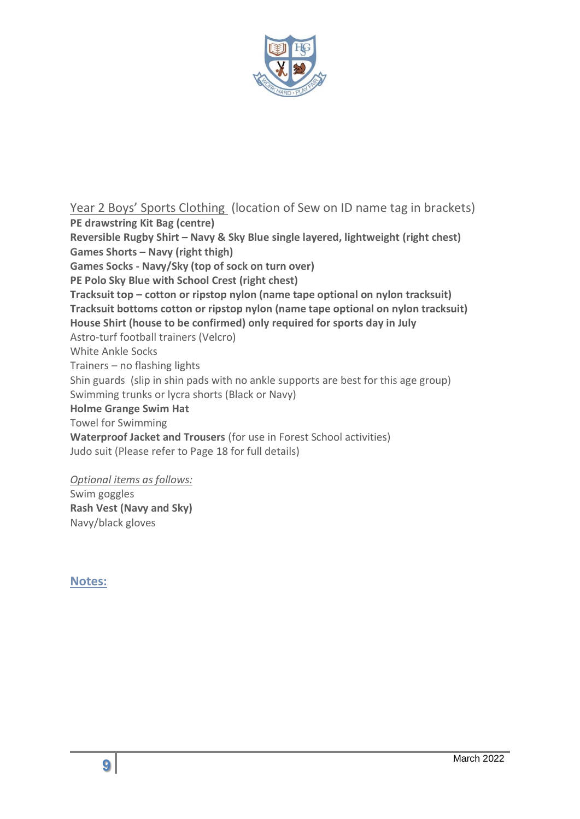

Year 2 Boys' Sports Clothing (location of Sew on ID name tag in brackets) **PE drawstring Kit Bag (centre)**

**Reversible Rugby Shirt – Navy & Sky Blue single layered, lightweight (right chest) Games Shorts – Navy (right thigh) Games Socks - Navy/Sky (top of sock on turn over) PE Polo Sky Blue with School Crest (right chest) Tracksuit top – cotton or ripstop nylon (name tape optional on nylon tracksuit) Tracksuit bottoms cotton or ripstop nylon (name tape optional on nylon tracksuit) House Shirt (house to be confirmed) only required for sports day in July**  Astro-turf football trainers (Velcro) White Ankle Socks Trainers – no flashing lights Shin guards (slip in shin pads with no ankle supports are best for this age group) Swimming trunks or lycra shorts (Black or Navy) **Holme Grange Swim Hat** Towel for Swimming **Waterproof Jacket and Trousers** (for use in Forest School activities) Judo suit (Please refer to Page 18 for full details)

*Optional items as follows:*

Swim goggles **Rash Vest (Navy and Sky)** Navy/black gloves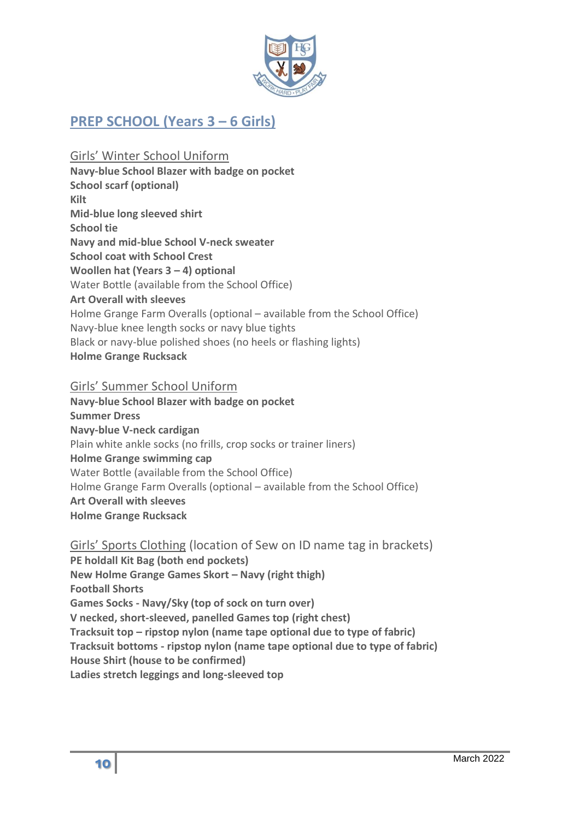

# <span id="page-9-0"></span>**PREP SCHOOL (Years 3 – 6 Girls)**

Girls' Winter School Uniform **Navy-blue School Blazer with badge on pocket School scarf (optional) Kilt Mid-blue long sleeved shirt School tie Navy and mid-blue School V-neck sweater School coat with School Crest Woollen hat (Years 3 – 4) optional** Water Bottle (available from the School Office) **Art Overall with sleeves** Holme Grange Farm Overalls (optional – available from the School Office) Navy-blue knee length socks or navy blue tights Black or navy-blue polished shoes (no heels or flashing lights) **Holme Grange Rucksack**

#### Girls' Summer School Uniform

**Navy-blue School Blazer with badge on pocket Summer Dress Navy-blue V-neck cardigan**  Plain white ankle socks (no frills, crop socks or trainer liners) **Holme Grange swimming cap** Water Bottle (available from the School Office) Holme Grange Farm Overalls (optional – available from the School Office) **Art Overall with sleeves Holme Grange Rucksack**

Girls' Sports Clothing (location of Sew on ID name tag in brackets) **PE holdall Kit Bag (both end pockets) New Holme Grange Games Skort – Navy (right thigh) Football Shorts Games Socks - Navy/Sky (top of sock on turn over) V necked, short-sleeved, panelled Games top (right chest) Tracksuit top – ripstop nylon (name tape optional due to type of fabric) Tracksuit bottoms - ripstop nylon (name tape optional due to type of fabric) House Shirt (house to be confirmed) Ladies stretch leggings and long-sleeved top**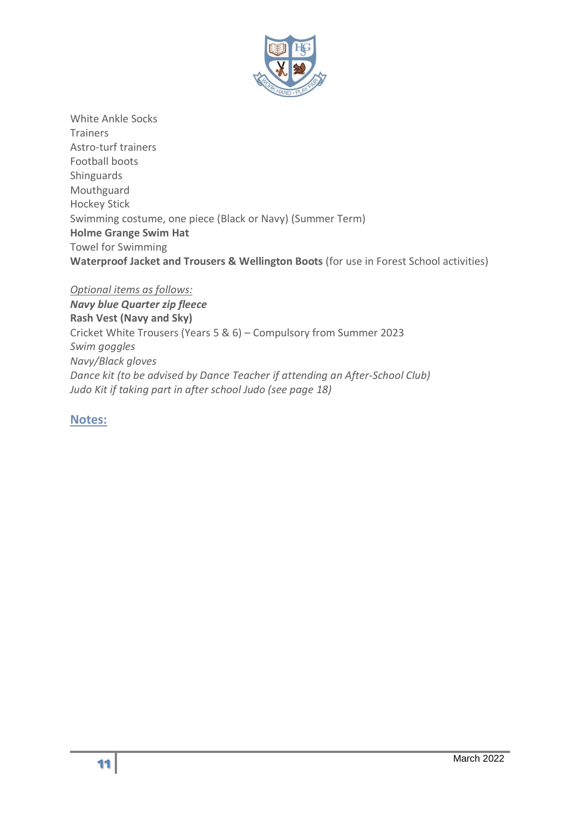

White Ankle Socks **Trainers** Astro-turf trainers Football boots Shinguards Mouthguard Hockey Stick Swimming costume, one piece (Black or Navy) (Summer Term) **Holme Grange Swim Hat** Towel for Swimming **Waterproof Jacket and Trousers & Wellington Boots** (for use in Forest School activities)

*Optional items as follows: Navy blue Quarter zip fleece*  **Rash Vest (Navy and Sky)**  Cricket White Trousers (Years 5 & 6) – Compulsory from Summer 2023 *Swim goggles Navy/Black gloves Dance kit (to be advised by Dance Teacher if attending an After-School Club) Judo Kit if taking part in after school Judo (see page 18)*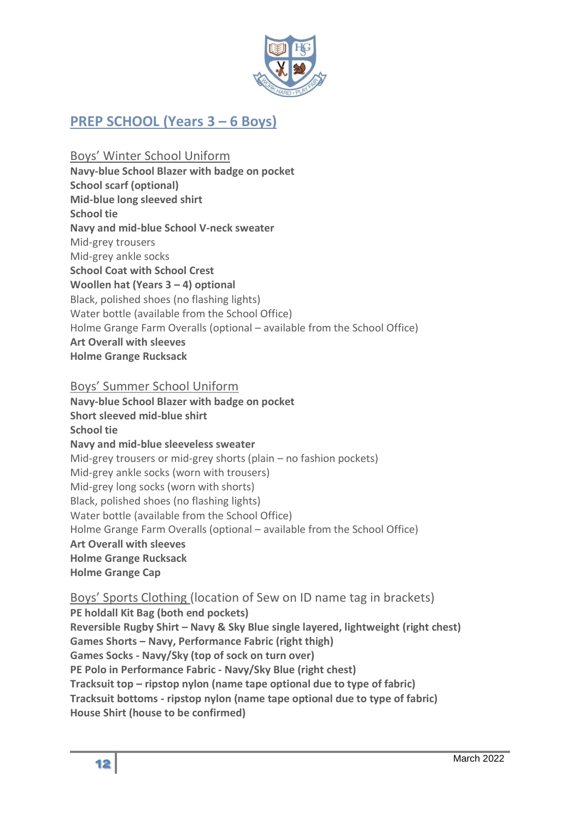

# <span id="page-11-0"></span>**PREP SCHOOL (Years 3 – 6 Boys)**

Boys' Winter School Uniform

**Navy-blue School Blazer with badge on pocket**

**School scarf (optional)**

**Mid-blue long sleeved shirt** 

**School tie Navy and mid-blue School V-neck sweater** 

Mid-grey trousers

Mid-grey ankle socks

**School Coat with School Crest** 

**Woollen hat (Years 3 – 4) optional**

Black, polished shoes (no flashing lights)

Water bottle (available from the School Office)

Holme Grange Farm Overalls (optional – available from the School Office)

**Art Overall with sleeves**

**Holme Grange Rucksack**

# Boys' Summer School Uniform

**Navy-blue School Blazer with badge on pocket Short sleeved mid-blue shirt School tie Navy and mid-blue sleeveless sweater** Mid-grey trousers or mid-grey shorts (plain – no fashion pockets) Mid-grey ankle socks (worn with trousers) Mid-grey long socks (worn with shorts) Black, polished shoes (no flashing lights) Water bottle (available from the School Office) Holme Grange Farm Overalls (optional – available from the School Office) **Art Overall with sleeves Holme Grange Rucksack Holme Grange Cap**

# Boys' Sports Clothing (location of Sew on ID name tag in brackets)

**PE holdall Kit Bag (both end pockets)**

**Reversible Rugby Shirt – Navy & Sky Blue single layered, lightweight (right chest) Games Shorts – Navy, Performance Fabric (right thigh) Games Socks - Navy/Sky (top of sock on turn over) PE Polo in Performance Fabric - Navy/Sky Blue (right chest) Tracksuit top – ripstop nylon (name tape optional due to type of fabric)**

**Tracksuit bottoms - ripstop nylon (name tape optional due to type of fabric) House Shirt (house to be confirmed)**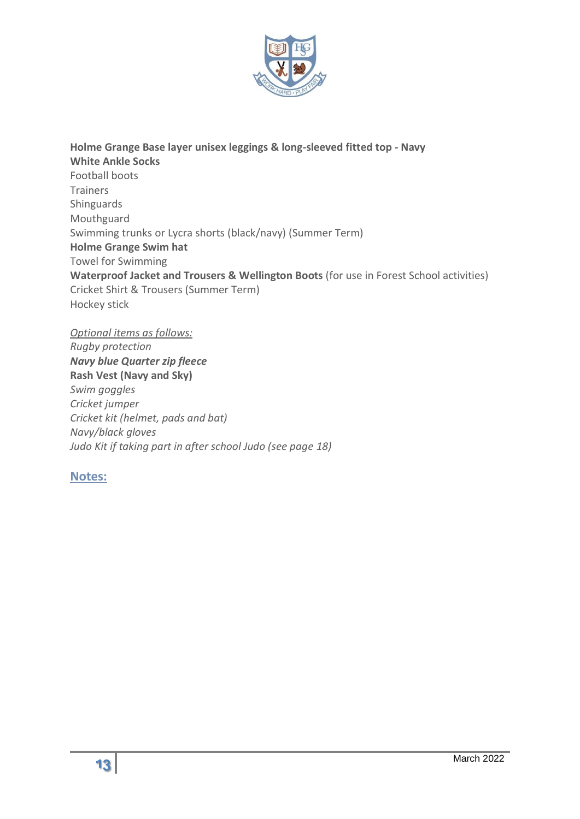

**Holme Grange Base layer unisex leggings & long-sleeved fitted top - Navy White Ankle Socks** Football boots Trainers Shinguards Mouthguard Swimming trunks or Lycra shorts (black/navy) (Summer Term) **Holme Grange Swim hat** Towel for Swimming **Waterproof Jacket and Trousers & Wellington Boots** (for use in Forest School activities) Cricket Shirt & Trousers (Summer Term) Hockey stick

#### *Optional items as follows:*

*Rugby protection Navy blue Quarter zip fleece*  **Rash Vest (Navy and Sky)**  *Swim goggles Cricket jumper Cricket kit (helmet, pads and bat) Navy/black gloves Judo Kit if taking part in after school Judo (see page 18)*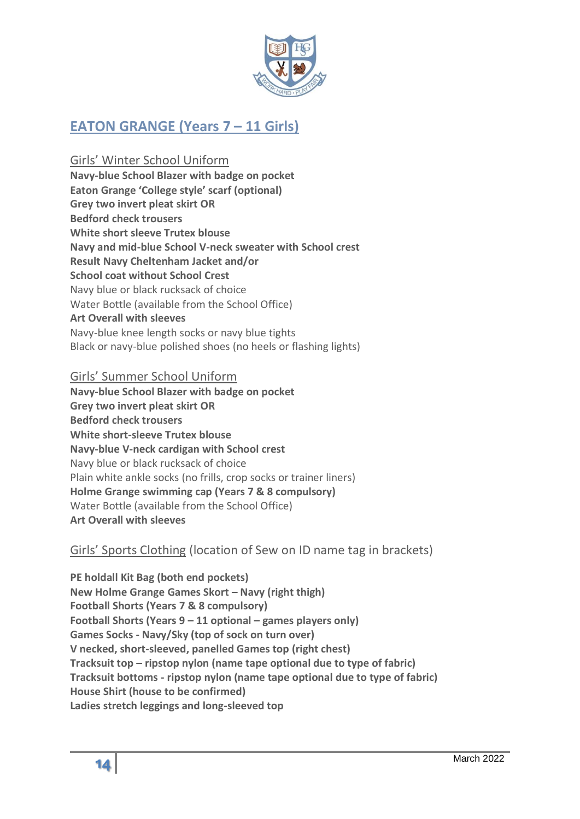

# **EATON GRANGE (Years 7 – 11 Girls)**

Girls' Winter School Uniform **Navy-blue School Blazer with badge on pocket Eaton Grange 'College style' scarf (optional) Grey two invert pleat skirt OR Bedford check trousers White short sleeve Trutex blouse Navy and mid-blue School V-neck sweater with School crest Result Navy Cheltenham Jacket and/or School coat without School Crest**  Navy blue or black rucksack of choice Water Bottle (available from the School Office) **Art Overall with sleeves** Navy-blue knee length socks or navy blue tights Black or navy-blue polished shoes (no heels or flashing lights)

#### Girls' Summer School Uniform

**Navy-blue School Blazer with badge on pocket Grey two invert pleat skirt OR Bedford check trousers White short-sleeve Trutex blouse Navy-blue V-neck cardigan with School crest**  Navy blue or black rucksack of choice Plain white ankle socks (no frills, crop socks or trainer liners) **Holme Grange swimming cap (Years 7 & 8 compulsory)** Water Bottle (available from the School Office) **Art Overall with sleeves**

# Girls' Sports Clothing (location of Sew on ID name tag in brackets)

**PE holdall Kit Bag (both end pockets) New Holme Grange Games Skort – Navy (right thigh) Football Shorts (Years 7 & 8 compulsory) Football Shorts (Years 9 – 11 optional – games players only) Games Socks - Navy/Sky (top of sock on turn over) V necked, short-sleeved, panelled Games top (right chest) Tracksuit top – ripstop nylon (name tape optional due to type of fabric) Tracksuit bottoms - ripstop nylon (name tape optional due to type of fabric) House Shirt (house to be confirmed) Ladies stretch leggings and long-sleeved top**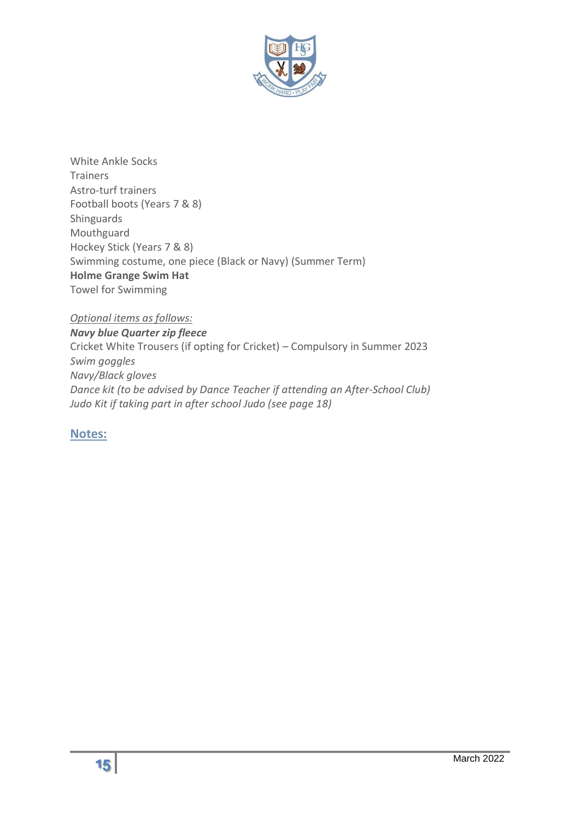

White Ankle Socks Trainers Astro-turf trainers Football boots (Years 7 & 8) Shinguards Mouthguard Hockey Stick (Years 7 & 8) Swimming costume, one piece (Black or Navy) (Summer Term) **Holme Grange Swim Hat** Towel for Swimming

*Optional items as follows:*

*Navy blue Quarter zip fleece*  Cricket White Trousers (if opting for Cricket) – Compulsory in Summer 2023 *Swim goggles Navy/Black gloves Dance kit (to be advised by Dance Teacher if attending an After-School Club) Judo Kit if taking part in after school Judo (see page 18)*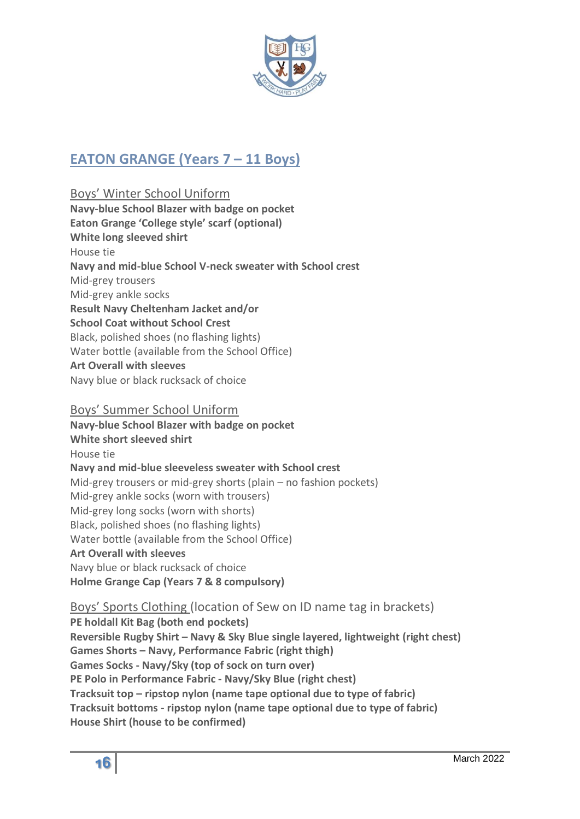

# **EATON GRANGE (Years 7 – 11 Boys)**

Boys' Winter School Uniform **Navy-blue School Blazer with badge on pocket Eaton Grange 'College style' scarf (optional) White long sleeved shirt**  House tie **Navy and mid-blue School V-neck sweater with School crest**  Mid-grey trousers Mid-grey ankle socks **Result Navy Cheltenham Jacket and/or School Coat without School Crest**  Black, polished shoes (no flashing lights) Water bottle (available from the School Office) **Art Overall with sleeves** Navy blue or black rucksack of choice

#### Boys' Summer School Uniform

**Navy-blue School Blazer with badge on pocket White short sleeved shirt**  House tie **Navy and mid-blue sleeveless sweater with School crest**  Mid-grey trousers or mid-grey shorts (plain – no fashion pockets) Mid-grey ankle socks (worn with trousers) Mid-grey long socks (worn with shorts) Black, polished shoes (no flashing lights) Water bottle (available from the School Office) **Art Overall with sleeves** Navy blue or black rucksack of choice **Holme Grange Cap (Years 7 & 8 compulsory)**

Boys' Sports Clothing (location of Sew on ID name tag in brackets) **PE holdall Kit Bag (both end pockets) Reversible Rugby Shirt – Navy & Sky Blue single layered, lightweight (right chest) Games Shorts – Navy, Performance Fabric (right thigh) Games Socks - Navy/Sky (top of sock on turn over) PE Polo in Performance Fabric - Navy/Sky Blue (right chest) Tracksuit top – ripstop nylon (name tape optional due to type of fabric) Tracksuit bottoms - ripstop nylon (name tape optional due to type of fabric) House Shirt (house to be confirmed)**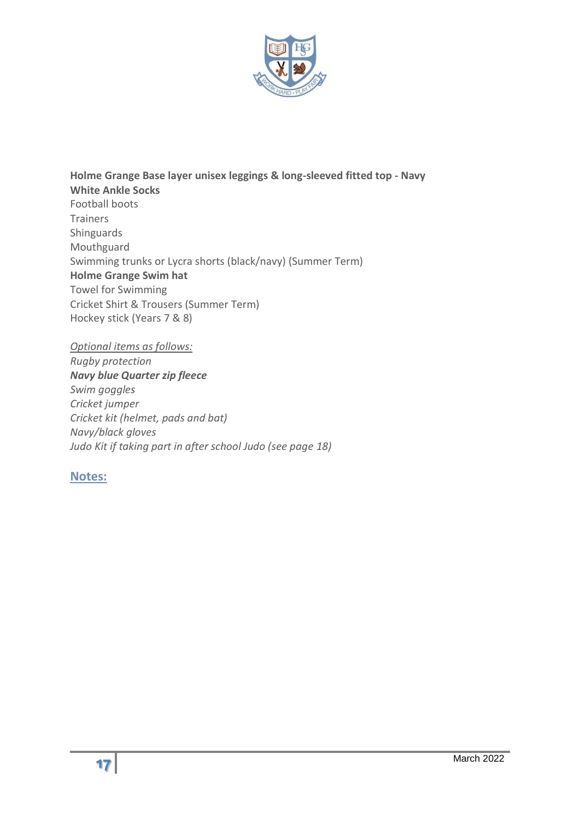

**Holme Grange Base layer unisex leggings & long-sleeved fitted top - Navy White Ankle Socks** Football boots Trainers Shinguards Mouthguard Swimming trunks or Lycra shorts (black/navy) (Summer Term) **Holme Grange Swim hat** Towel for Swimming Cricket Shirt & Trousers (Summer Term) Hockey stick (Years 7 & 8)

*Optional items as follows: Rugby protection Navy blue Quarter zip fleece Swim goggles Cricket jumper Cricket kit (helmet, pads and bat) Navy/black gloves Judo Kit if taking part in after school Judo (see page 18)*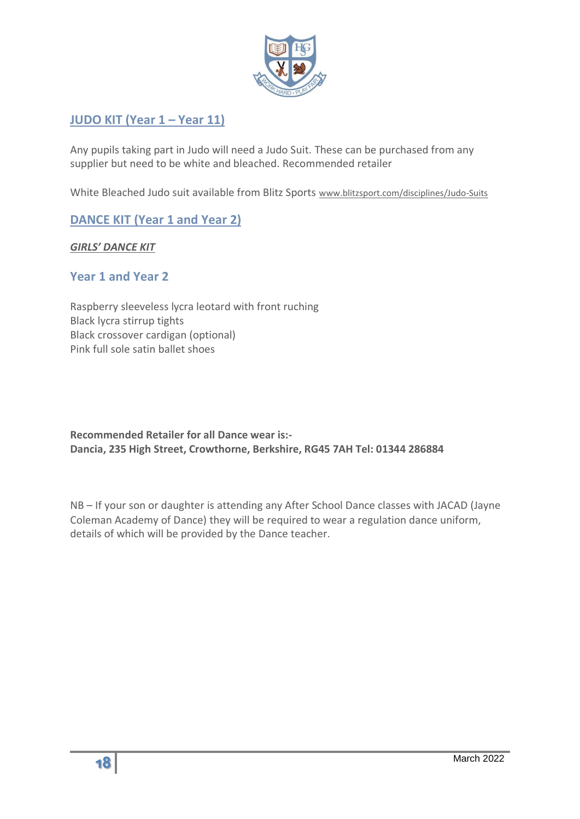

# **JUDO KIT (Year 1 – Year 11)**

Any pupils taking part in Judo will need a Judo Suit. These can be purchased from any supplier but need to be white and bleached. Recommended retailer

White Bleached Judo suit available from Blitz Sports [www.blitzsport.com/disciplines/Judo-Suits](http://www.blitzsport.com/disciplines/Judo-Suits)

# **DANCE KIT (Year 1 and Year 2)**

#### *GIRLS' DANCE KIT*

## **Year 1 and Year 2**

Raspberry sleeveless lycra leotard with front ruching Black lycra stirrup tights Black crossover cardigan (optional) Pink full sole satin ballet shoes

<span id="page-17-0"></span>**Recommended Retailer for all Dance wear is:- Dancia, 235 High Street, Crowthorne, Berkshire, RG45 7AH Tel: 01344 286884**

NB – If your son or daughter is attending any After School Dance classes with JACAD (Jayne Coleman Academy of Dance) they will be required to wear a regulation dance uniform, details of which will be provided by the Dance teacher.